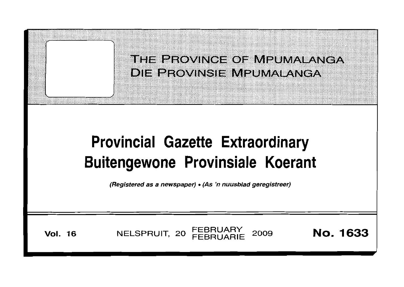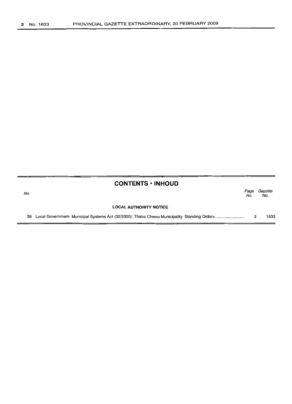#### **CONTENTS -INHOUD**

| No. |                               | Page<br>No. | Gazette<br>No. |
|-----|-------------------------------|-------------|----------------|
|     | <b>LOCAL AUTHORITY NOTICE</b> |             |                |
|     |                               |             | 1633           |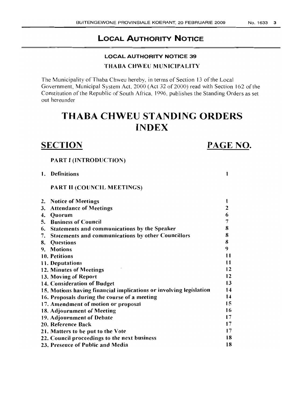#### LOCAL AUTHORITY NOTICE 39

#### THABA CHWEU MUNICIPALITY

The Municipality of Thaba Chweu hereby, in terms of Section 13 of the Local Government, Municipal System Act, 2000 (Act 32 of 2000) read with Section 162 of the Constitution of the Republic of South Africa, 1996, publishes the Standing Orders as set out hereunder

## THABA CHWEU STANDING ORDERS INDEX

### **SECTION**

### PAGE NO.

1

#### PART I (INTRODUCTION)

1. Definitions

PART II (COUNCIL MEETINGS)

| <b>Notice of Meetings</b><br>2.                                    |    |
|--------------------------------------------------------------------|----|
| <b>Attendance of Meetings</b><br>3.                                | 2  |
| Quorum<br>4.                                                       | 6  |
| <b>Business of Council</b><br>5.                                   |    |
| Statements and communications by the Speaker<br>6.                 | 8  |
| <b>Statements and communications by other Councillors</b><br>7.    | 8  |
| Questions<br>8.                                                    | 8  |
| <b>Motions</b><br>9.                                               | 9  |
| 10. Petitions                                                      | 11 |
| 11. Deputations                                                    | 11 |
| 12. Minutes of Meetings                                            | 12 |
| 13. Moving of Report                                               | 12 |
| 14. Consideration of Budget                                        | 13 |
| 15. Motions having financial implications or involving legislation | 14 |
| 16. Proposals during the course of a meeting                       | 14 |
| 17. Amendment of motion or proposal                                | 15 |
| 18. Adjournment of Meeting                                         | 16 |
| 19. Adjournment of Debate                                          | 17 |
| 20. Reference Back                                                 | 17 |
| 21. Matters to be put to the Vote                                  | 17 |
| 22. Council proceedings to the next business                       | 18 |
| 23. Presence of Public and Media                                   | 18 |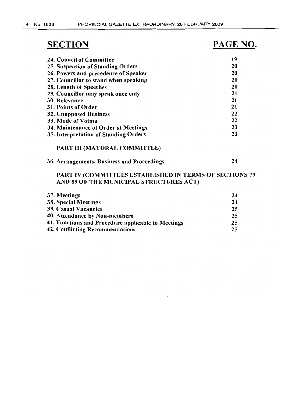$\cdot$ 

# **SECTION**

42. Conflicting Recommendations

# **PAGE NO.**

25

| <b>24. Council of Committee</b>                                | 19 |
|----------------------------------------------------------------|----|
| 25. Suspension of Standing Orders                              | 20 |
| 26. Powers and precedence of Speaker                           | 20 |
| 27. Councillor to stand when speaking                          | 20 |
| 28. Length of Speeches                                         | 20 |
| 29. Councillor may speak once only                             | 21 |
| 30. Relevance                                                  | 21 |
| 31. Points of Order                                            | 21 |
| <b>32. Unopposed Business</b>                                  | 22 |
| 33. Mode of Voting                                             | 22 |
| 34. Maintenance of Order at Meetings                           | 23 |
| 35. Interpretation of Standing Orders                          | 23 |
| PART III (MAYORAL COMMITTEE)                                   |    |
| 36. Arrangements, Business and Proceedings                     | 24 |
| <b>PART IV (COMMITTEES ESTABLISHED IN TERMS OF SECTIONS 79</b> |    |
| AND 80 OF THE MUNICIPAL STRUCTURES ACT)                        |    |
| 37. Meetings                                                   | 24 |
| <b>38. Special Meetings</b>                                    | 24 |
| <b>39. Casual Vacancies</b>                                    | 25 |
| 40. Attendance by Non-members                                  | 25 |
| 41. Functions and Procedure applicable to Meetings             | 25 |
|                                                                |    |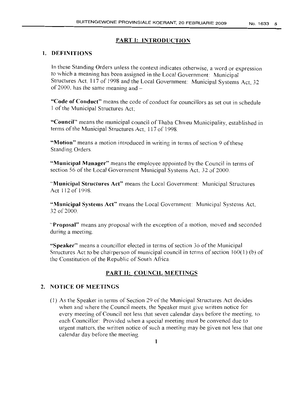#### PART I: INTRODUCTION

#### 1. DEFINITIONS

In these Standing Orders unless the context indicates otherwise, a word or expression to which a meaning has been assigned in the Local Government: Municipal Structures Act, 117 of 1998 and the Local Government: Municipal Systems Act, 32 of 2000, has the same meaning and  $-$ 

"Code of Conduct" means the code of conduct for councillors as set out in schedule 1 of the Municipal Structures Act;

"Council" means the municipal council of Thaba Chweu Municipality, established in terms of the Municipal Structures Act, 117 of 1998.

"Motion" means a motion introduced in writing in terms of section 9 of these Standing Orders.

"Municipal Manager" means the employee appointed by the Council in terms of section 56 of the Local Government Municipal Systems Act, 32 of 2000.

"Municipal Structures Act" means the Local Government: Municipal Structures Act 112 of 1998.

"Municipal Systems Act" means the Local Government: Municipal Systems Act, 32 of 2000.

"Proposal" means any proposal with the exception of a motion, moved and seconded during a meeting

"Speaker" means a councillor elected in terms of section 36 of the Municipal Structures Act to be chairperson of municipal council in terms of section  $160(1)$  (b) of the Constitution of the Republic of South Africa.

#### PART II: COUNCIL MEETINGS

#### 2. NOTICE OF MEETINGS

(I ) As the Speaker in terms of Section 29 of the Municipal Structures Act decides when and where the Council meets, the Speaker must give written notice for every meeting of Council not less that seven calendar days before the meeting, to each Councillor: Provided when a special meeting must be convened due to urgent matters, the written notice of such a meeting may be given not less that one calendar day before the meeting.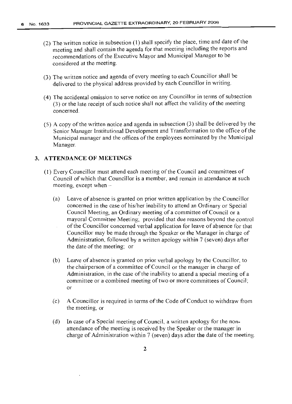- (2) The written notice in subsection  $(1)$  shall specify the place, time and date of the meeting and shall contain the agenda for that meeting including the reports and recommendations of the Executive Mayor and Municipal Manager to be considered at the meeting.
- (3) The written notice and agenda of every meeting to each Councillor shall be delivered to the physical address provided by each Councillor in writing.
- (4) The accidental omission to serve notice on any Councillor in terms ofsubsection  $(3)$  or the late receipt of such notice shall not affect the validity of the meeting concerned.
- (5) A copy ofthe written notice and agenda in subsection (3) shall be delivered by the Senior Manager Institutional Development and Transformation to the office of the Municipal manager and the offices of the employees nominated by the Municipal Manager.

#### **3. ATTENDANCE OF MEETINGS**

- (1) Every Councillor must attend each meeting ofthe Council and committees of Council of which that Councillor is a member, and remain in attendance at such meeting, except when  $-$ 
	- (a) Leave of absence is granted on prior written application by the Councillor concerned in the case of his/her inability to attend an Ordinary or Special Council Meeting, an Ordinary meeting of a committee of Council or a mayoral Committee Meeting; provided that due reasons beyond the control ofthe Councillor concerned verbal application for leave of absence for that Councillor may be made through the Speaker or the Manager in charge of Administration, followed by a written apology within 7 (seven) days after the date of the meeting; or
	- (b) Leave of absence is granted on prior verbal apology by the Councillor, to the chairperson of a committee of Council or the manager in charge of Administration, in the case of the inability to attend a special meeting of a committee or a combined meeting of two or more committees of Council; or
	- (c) A Councillor is required in terms ofthe Code ofConduct to withdraw from the meeting, or
	- (d) In case of a Special meeting of Council, a written apology for the nonattendance of the meeting is received by the Speaker or the manager in charge of Administration within 7 (seven) days after the date of the meeting.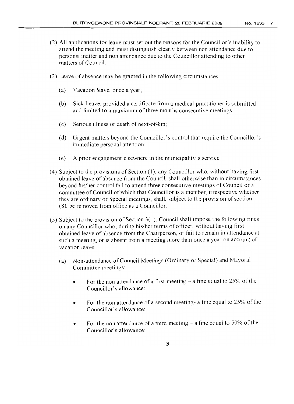- (2) All applications for leave must set out the reasons for the Councillor's inability to attend the meeting and must distinguish clearly between non attendance due to personal matter and non attendance due to the Councillor attending to other matters of Council.
- (3) Leave of absence may be granted in the following circumstances:
	- (a) Vacation leave, once a year;
	- (b) Sick Leave, provided a certificate from a medical practitioner is submitted and limited to a maximum of three months consecutive meetings;
	- (c) Serious illness or death of next-of-kin;
	- (d) Urgent matters beyond the Councillor's control that require the Councillor's immediate personal attention;
	- (e) A prior engagement elsewhere in the municipality's service.
- (4) Subject to the provisions of Section (1), any Councillor who, without having first obtained leave of absence from the Council, shall otherwise than in circumstances beyond his/her control fail to attend three consecutive meetings of Council or a committee of Council of which that Councillor is a member, irrespective whether they are ordinary or Special meetings, shall, subject to the provision of section (8), be removed from office as a Councillor.
- (5) Subject to the provision of Section  $3(1)$ , Council shall impose the following fines on any Councillor who, during his/her terms of officer, without having first obtained leave of absence from the Chairperson, or fail to remain in attendance at such a meeting, or is absent from a meeting more than once a year on account of vacation leave:
	- (a) Non-attendance of Council Meetings (Ordinary or Special) and Mayoral Committee meetings
		- For the non attendance of a first meeting  $-$  a fine equal to 25% of the Councillor's allowance;
		- For the non attendance of a second meeting- a fine equal to 25% of the Councillor's allowance;
		- For the non attendance of a third meeting  $-$  a fine equal to 50% of the Councillor's allowance;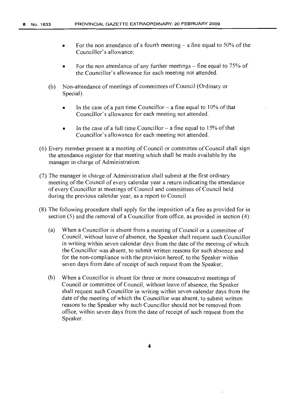- For the non attendance of a fourth meeting  $-$  a fine equal to 50% of the Councillor's allowance;
- For the non attendance of any further meetings  $-$  fine equal to 75% of the Councillor's allowance for each meeting not attended.
- (b) Non-attendance of meetings of committees of Council (Ordinary or Special).
	- In the case of a part time Councillor  $-$  a fine equal to 10% of that Councillor's allowance for each meeting not attended.
	- In the case of a full time Councillor  $-$  a fine equal to 15% of that Councillor's allowance for each meeting not attended.
- (6) Every member present at a meeting ofCouncil or committee ofCouncil shall sign the attendance register for that meeting which shall be made available by the manager in charge of Administration.
- (7) The manager in charge of Administration shall submit at the first ordinary meeting of the Council of every calendar year a return indicating the attendance of every Councillor at meetings of Council and committees of Council held during the previous calendar year, as a report to Council.
- (8) The following procedure shall apply for the imposition of a fine as provided for in section (5) and the removal of a Councillor from office, as provided in section (4):
	- (a) When a Councillor is absent from a meeting ofCouncil or a committee of Council, without leave of absence, the Speaker shall request such Councillor in writing within seven calendar days from the date of the meeting of which the Councillor was absent, to submit written reasons for such absence and for the non-compliance with the provision hereof, to the Speaker within seven days from date of receipt of such request from the Speaker;
	- (b) When a Councillor is absent for three or more consecutive meetings of Council or committee of Council, without leave of absence, the Speaker shall request such Councillor in writing within seven calendar days from the date of the meeting of which the Councillor was absent, to submit written reasons to the Speaker why such Councillor should not be removed from office, within seven days from the date of receipt of such request from the Speaker.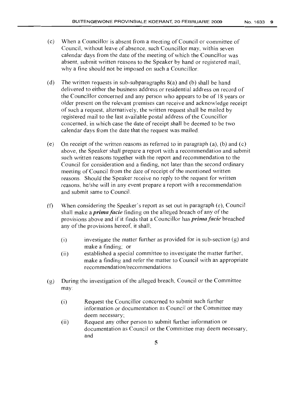- (c) When a Councillor is absent from a meeting of Council or committee of Council, without leave of absence, such Councillor may, within seven calendar days from the date ofthe meeting of which the Councillor was absent, submit written reasons to the Speaker by hand or registered mail, why a fine should not be imposed on such a Councillor.
- (d) The written requests in sub-subparagraphs 8(a) and (b) shall be hand delivered to either the business address or residential address on record of the Councillor concerned and any person who appears to be of 18 years or older present on the relevant premises can receive and acknowledge receipt ofsuch a request, alternatively, the written request shall be mailed by registered mail to the last available postal address of the Councillor concerned, in which case the date of receipt shall be deemed to be two calendar days from the date that the request was mailed.
- (e) On receipt of the written reasons as referred to in paragraph (a), (b) and (c) above, the Speaker shall prepare a report with a recommendation and submit such written reasons together with the report and recommendation to the Council for consideration and a finding, not later than the second ordinary meeting of Council from the date of receipt of the mentioned written reasons. Should the Speaker receive no reply to the request for written reasons, he/she will in any event prepare a report with a recommendation and submit same to Council.
- (f) When considering the Speaker's report as set out in paragraph (e), Council shall make a *prima facie* finding on the alleged breach of any of the provisions above and if it finds that a Councillor has *prima facie* breached any of the provisions hereof, it shall;
	- $(i)$  investigate the matter further as provided for in sub-section  $(g)$  and make a finding; or
	- (ii) established a special committee to investigate the matter further, make a finding and refer the matter to Council with an appropriate recommendation/recommendations.
- $(g)$  During the investigation of the alleged breach, Council or the Committee may:
	- (i) Request the Councillor concerned to submit such further information or documentation as Council or the Committee may deem necessary;
	- (ii) Request any other person to submit further information or documentation as Council or the Committee may deem necessary; and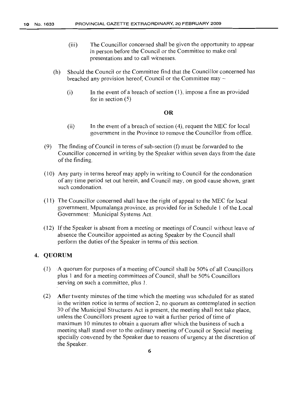- (iii) The Councillor concerned shall be given the opportunity to appear in person before the Council or the Committee to make oral presentations and to call witnesses.
- (h) Should the Council or the Committee find that the Councillor concerned has breached any provision hereof, Council or the Committee may  $-$ 
	- (i) In the event of a breach of section (1), impose a fine as provided for in section (5)

#### **OR**

- (ii) In the event of a breach of section (4), request the MEC for local government in the Province to remove the Councillor from office.
- (9) The finding of Council in terms of sub-section  $(f)$  must be forwarded to the Councillor concerned in writing by the Speaker within seven days from the date of the finding.
- (10) Any party in terms hereof may apply in writing to Council for the condonation of any time period set out herein, and Council may, on good cause shown, grant such condonation.
- $(11)$  The Councillor concerned shall have the right of appeal to the MEC for local government, Mpumalanga province, as provided for in Schedule 1 of the Local Government: Municipal Systems Act.
- (12) Ifthe Speaker is absent from a meeting or meetings of Council without leave of absence the Councillor appointed as acting Speaker by the Council shall perform the duties of the Speaker in terms of this section.

#### **4. QUORUM**

- $(1)$  A quorum for purposes of a meeting of Council shall be 50% of all Councillors plus 1 and for a meeting committees of Council, shall be 50% Councillors serving on such a committee, plus 1.
- (2) After twenty minutes of the time which the meeting was scheduled for as stated in the written notice in terms of section 2, no quorum as contemplated in section 30 ofthe Municipal Structures Act is present, the meeting shall not take place, unless the Councillors present agree to wait a further period of time of maximum 10 minutes to obtain a quorum after which the business of such a meeting shall stand over to the ordinary meeting of Council or Special meeting specially convened by the Speaker due to reasons of urgency at the discretion of the Speaker.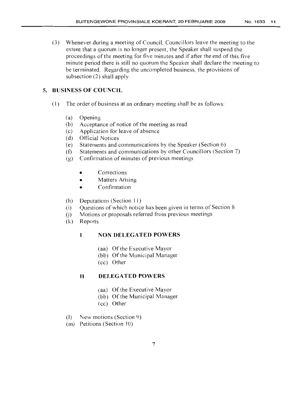(3) Whenever during a meeting of Council, Councillors leave the meeting to the extent that a quorum is no longer present, the Speaker shall suspend the proceedings of the meeting for five minutes and if after the end of this five minute period there is still no quorum the Speaker shall declare the meeting to be terminated. Regarding the uncompleted business, the provisions of subsection (2) shall apply.

### **5. BUSINESS OF COUNCIL**

- (I) The order of business at an ordinary meeting shal1 be as follows:
	- (a) Opening
	- $(b)$  Acceptance of notice of the meeting as read
	- (c) Application for leave of absence
	- (d) Official Notices
	- (e) Statements and communications by the Speaker (Section 6)
	- (f) Statements and communications by other Councillors (Section 7)
	- (g) Confirmation of minutes of previous meetings
		- **Corrections**
		- Matters Arising
		- Confirmation
	- (h) Deputations (Section II)
	- (i) Questions of which notice has been given in terms of Section 8
	- (i) Motions or proposals referred from previous meetings
	- (k) Reports

#### **NON DELEGATED POWERS**  $\mathbf{I}$

- (aa) Of the Executive Mayor
- (bb) Of the Municipal Manager
- (cc) Other

#### **II DELEGATED POWERS**

- (aa) Of the Executive Mayor
- (bb) Of the Municipal Manager
- (cc) Other
- (1) New motions (Section 9)
- (m) Petitions (Section 10)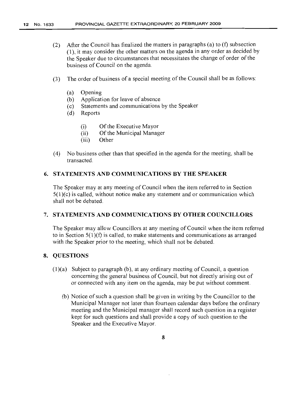- (2) After the Council has finalized the matters in paragraphs (a) to (f) subsection (1), it may consider the other matters on the agenda in any order as decided by the Speaker due to circumstances that necessitates the change of order of the business of Council on the agenda.
- (3) The order of business of a special meeting of the Council shall be as follows:
	- (a) Opening
	- (b) Application for leave of absence
	- (c) Statements and communications by the Speaker
	- (d) Reports
		- (i) Of the Executive Mayor
		- (ii) Of the Municipal Manager
		- (iii) Other
- (4) No business other than that specified in the agenda for the meeting, shall be transacted.

#### 6. STATEMENTS AND COMMUNICATIONS BY THE SPEAKER

The Speaker may at any meeting of Council when the item referred to in Section 5(1)(c) is called, without notice make any statement and or communication which shall not be debated

#### 7. STATEMENTS AND COMMUNICATIONS BY OTHER COUNCILLORS

The Speaker may allow Councillors at any meeting of Council when the item referred to in Section  $5(1)(f)$  is called, to make statements and communications as arranged with the Speaker prior to the meeting, which shall not be debated.

#### 8. QUESTIONS

- $(1)(a)$  Subject to paragraph  $(b)$ , at any ordinary meeting of Council, a question concerning the general business of Council, but not directly arising out of or connected with any item on the agenda, may be put without comment.
	- (b) Notice of such a question shall be given in writing by the Councillor to the Municipal Manager not later than fourteen calendar days before the ordinary meeting and the Municipal manager shall record such question in a register kept for such questions and shall provide a copy of such question to the Speaker and the Executive Mayor.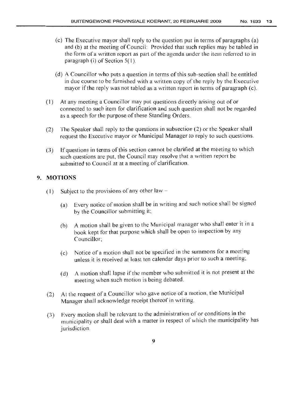- (c) The Executive mayor shall reply to the question put in terms of paragraphs (a) and (b) at the meeting of Council: Provided that such replies may be tabled in the form of a written report as part of the agenda under the item referred to in paragraph (i) of Section 5( l ).
- (d) A Councillor who puts a question in terms ofthis sub-section shall be entitled in due course to be furnished with a written copy of the reply by the Executive mayor ifthe reply was not tabled as a written report in terms of paragraph (c).
- (1) At any meeting a Councillor may put questions directly arising out of or connected to such item for clarification and such question shall not be regarded as a speech for the purpose of these Standing Orders.
- (2) The Speaker shall reply to the questions in subsection (2) or the Speaker shall request the Executive mayor or Municipal Manager to reply to such questions.
- (3) If questions in terms of this section cannot be clarified at the meeting to which such questions are put, the Council may resolve that a written report be submitted to Council at at a meeting of clarification.

#### 9. **MOTIONS**

- (1) Subject to the provisions of any other law  $-$ 
	- (a) Every notice of motion shall be in writing and such notice shall be signed by the Councillor submitting it;
	- (b) A motion shall be given to the Municipal manager who shall enter it in a book kept for that purpose which shall be open to inspection by any Councillor;
	- (c) Notice ofa motion shall not be specified in the summons for a meeting unless it is received at least ten calendar days prior to such a meeting;
	- (d) A motion shall lapse if the member who submitted it is not present at the meeting when such motion is being debated.
- (2) At the request of a Councillor who gave notice of a motion, the Municipal Manager shall acknowledge receipt thereof in writing.
- (3) Every motion shall be relevant to the administration of or conditions in the municipality or shall deal with a matter in respect of which the municipality has jurisdiction.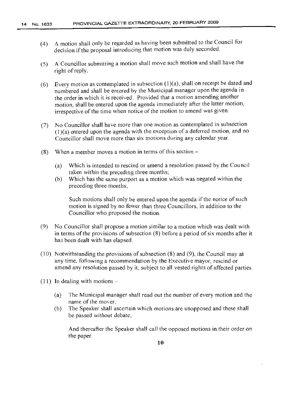- (4) A motion shall only be regarded as having been submitted to the Council for decision if the proposal introducing that motion was duly seconded.
- (5) A Councillor submitting a motion shall move such motion and shall have the right of reply.
- (6) Every motion as contemplated in subsection (1)(a), shall on receipt be dated and numbered and shall be entered by the Municipal manager upon the agenda in the order in which it is received: Provided that a motion amending another motion, shall be entered upon the agenda immediately after the latter motion, irrespective of the time when notice of the motion to amend was given.
- (7) No Councillor shall have more than one motion as contemplated in subsection (1 )(a) entered upon the agenda with the exception of a deferred motion, and no Councillor shall move more than six motions during any calendar year.
- (8) When a member moves a motion in terms of this section  $-$ 
	- (a) Which is intended to rescind or amend a resolution passed by the Council taken within the preceding three months;
	- (b) Which has the same purport as a motion which was negated within the preceding three months;

Such motions shall only be entered upon the agenda if the notice of such motion is signed by no fewer than three Councillors, in addition to the Councillor who proposed the motion.

- (9) No Councillor shall propose a motion similar to a motion which was dealt with in terms of the provisions of subsection  $(8)$  before a period of six months after it has been dealt with has elapsed.
- (10) Notwithstanding the provisions of subsection  $(8)$  and  $(9)$ , the Council may at any time, following a recommendation by the Executive mayor, rescind or amend any resolution passed by it, subject to all vested rights of affected parties.
- $(11)$  In dealing with motions
	- (a) The Municipal manager shall read out the number of every motion and the name of the mover;
	- (b) The Speaker shall ascertain which motions are unopposed and these shall be passed without debate;

And thereafter the Speaker shall call the opposed motions in their order on the paper.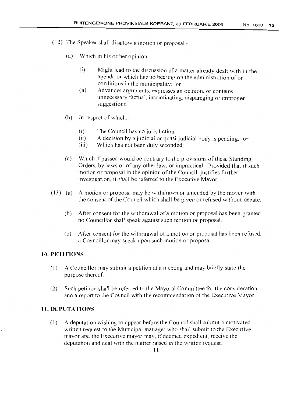- (12) The Speaker shall disallow a motion or proposal-
	- $(a)$  Which in his or her opinion  $-$ 
		- (i) Might lead to the discussion of a matter already dealt with in the agenda or which has no bearing on the administration of or conditions in the municipality; or
		- (ii) Advances arguments, expresses an opinion, or contains unnecessary factual, incriminating, disparaging or improper suggestions:
	- (b) In respect of which:-
		- (i) The Council has no jurisdiction
		- (ii) A decision by a judicial or quasi-judicial body is pending; or
		- (iii) Which has not been duly seconded;
	- (c) Which if passed would be contrary to the provisions ofthese Standing Orders, by-laws or of any other law, or impractical: Provided that if such motion or proposal in the opinion of the Council, justifies further investigation, it shall be referred to the Executive Mayor.
- (13) (a) A motion or proposal may be withdrawn or amended by the mover with the consent of the Council which shall be given or refused without debate.
	- (b) After consent for the withdrawal of a motion or proposal has been granted, no Councillor shall speak against such motion or proposal.
	- (c) After consent for the withdrawal of a motion or proposal has been refused, a Councillor may speak upon such motion or proposal.

#### **10. PETITIONS**

- (J) A Councillor may submit a petition at a meeting and may briefly state the purpose thereof
- (2) Such petition shall be referred to the Mayoral Committee for the consideration and a report to the Council with the recommendation of the Executive Mayor

#### **11. DEPUTATIONS**

(1) A deputation wishing to appear before the Council shall submit a motivated written request to the Municipal manager who shall submit to the Executive mayor and the Executive mayor may, if deemed expedient, receive the deputation and deal with the matter raised in the written request.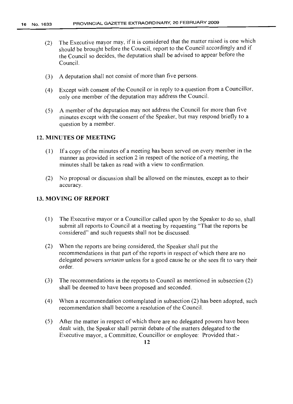- (2) The Executive mayor may, if it is considered that the matter raised is one which should be brought before the Council, report to the Council accordingly and if the Council so decides, the deputation shall be advised to appear before the Council.
- (3) A deputation shall not consist of more than five persons.
- (4) Except with consent of the Council or in reply to a question from a Councillor, only one member ofthe deputation may address the Council.
- (5) A member of the deputation may not address the Council for more than five minutes except with the consent of the Speaker, but may respond briefly to a question by a member.

#### 12. MINUTES OF MEETING

- (1) If a copy ofthe minutes of a meeting has been served on every member in the manner as provided in section 2 in respect of the notice of a meeting, the minutes shall be taken as read with a view to confirmation.
- (2) No proposal or discussion shall be allowed on the minutes, except as to their accuracy.

#### 13. MOVING OF REPORT

- (1) The Executive mayor or a Councillor called upon by the Speaker to do so, shall submit all reports to Council at a meeting by requesting "That the reports be considered" and such requests shall not be discussed.
- (2) When the reports are being considered, the Speaker shall put the recommendations in that part of the reports in respect of which there are no delegated powers *seriatim* unless for a good cause he or she sees fit to vary their order.
- (3) The recommendations in the reports to Council as mentioned in subsection (2) shall be deemed to have been proposed and seconded.
- (4) When a recommendation contemplated in subsection (2) has been adopted, such recommendation shall become a resolution of the Council.
- (5) After the matter in respect of which there are no delegated powers have been dealt with, the Speaker shall permit debate of the matters delegated to the Executive mayor, a Committee, Councillor or employee: Provided that:-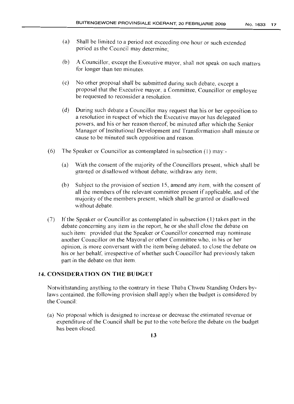- (a) Shall be limited to a period not exceeding one hour or such extended period as the Council may determine;
- (b) A Councillor, except the Executive mayor, shall not speak on such matters for longer than ten minutes.
- (c) No other proposal shall be submitted during such debate, except a proposal that the Executive mayor, a Committee, Councillor or employee be requested to reconsider a resolution.
- (d) During such debate a Councillor may request that his or her opposition to a resolution in respect of which the Executive mayor has delegated powers, and his or her reason thereof, be minuted after which the Senior Manager of Institutional Development and Transformation shall minute or cause to be minuted such opposition and reason.
- (6) The Speaker or Councillor as contemplated in subsection (1) may:-
	- (a) With the consent of the majority of the Councillors present, which shall be granted or disallowed without debate, withdraw any item;
	- (b) Subject to the provision of section 15, amend any item, with the consent of all the members of the relevant committee present if applicable, and of the majority of the members present, which shall be granted or disallowed without debate.
- (7) Ifthe Speaker or Councillor as contemplated in subsection (1) takes part in the debate concerning any item in the report, he or she shall close the debate on such item: provided that the Speaker or Councillor concerned may nominate another Councillor on the Mayoral or other Committee who, in his or her opinion, is more conversant with the item being debated, to close the debate on his or her behalf, irrespective of whether such Councillor had previously taken part in the debate on that item.

#### **14. CONSlDERATION ON THE BUDGET**

Notwithstanding anything to the contrary in these Thaba Chweu Standing Orders bylaws contained, the following provision shall apply when the budget is considered by the Council:

(a) No proposal which is designed to increase or decrease the estimated revenue or expenditure of the Council shall be put to the vote before the debate on the budget has been closed.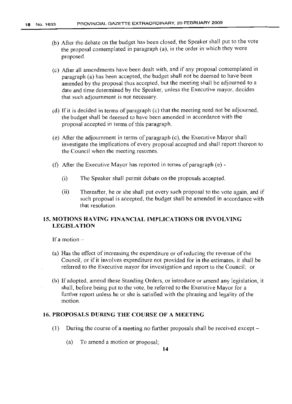- (b) After the debate on the budget has been closed, the Speaker shall put to the vote the proposal contemplated in paragraph (a), in the order in which they were proposed.
- (c) After all amendments have been dealt with, and if any proposal contemplated in paragraph (a) has been accepted, the budget shall not be deemed to have been amended by the proposal thus accepted, but the meeting shall be adjourned to a date and time determined by the Speaker, unless the Executive mayor, decides that such adjournment is not necessary.
- (d) If it is decided in terms of paragraph (c) that the meeting need not be adjourned, the budget shall be deemed to have been amended in accordance with the proposal accepted in terms of this paragraph.
- (e) After the adjournment in terms of paragraph (c), the Executive Mayor shall investigate the implications of every proposal accepted and shall report thereon to the Council when the meeting resumes.
- (f) After the Executive Mayor has reported in terms of paragraph (e)
	- (i) The Speaker shall permit debate on the proposals accepted.
	- (ii) Thereafter, he or she shall put every such proposal to the vote again, and if such proposal is accepted, the budget shall be amended in accordance with that resolution.

#### **15. MOTIONS HAVING FINANCIAL IlVIPLICATIONS OR INVOLVING LEGISLATION**

If a motion  $-$ 

- (a) Has the effect of increasing the expenditure or of reducing the revenue of the Council, or ifit involves expenditure not provided for in the estimates, it shall be referred to the Executive mayor for investigation and report to the Council; or
- (b) If adopted, amend these Standing Orders, or introduce or amend any legislation, it shall, before being put to the vote, be referred to the Executive Mayor for a further report unless he or she is satisfied with the phrasing and legality of the motion.

#### **16. PROPOSALS DURING THE COURSE OF A MEETING**

- (1) During the course of a meeting no further proposals shall be received except
	- (a) To amend a motion or proposal;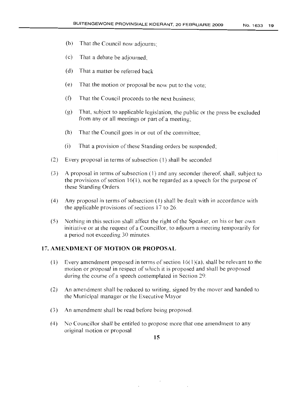- (b) That the Council now adjourns;
- (c) That a debate be adjourned;
- (d) That a matter be referred back
- (e) That the motion or proposal be now put to the vote;
- (f) That the Council proceeds to the next business;
- (g) That, subject to applicable legislation, the public or the press be excluded from any or all meetings or part of a meeting;
- $(h)$  That the Council goes in or out of the committee;
- $(i)$  That a provision of these Standing orders be suspended;
- (2) Every proposal in terms of subsection (1) shall be seconded
- $(3)$  A proposal in terms of subsection  $(1)$  and any seconder thereof, shall, subject to the provisions of section  $16(1)$ , not be regarded as a speech for the purpose of these Standing Orders
- (4) Any proposal in terms of subsection  $(1)$  shall be dealt with in accordance with the applicable provisions of sections 17 to 26.
- (5) Nothing in this section shall affect the right of the Speaker, on his or her own initiative or at the request of a Councillor, to adjourn a meeting temporarily for a period not exceeding 30 minutes

#### **17. AM ENDMENT OF MOTION OR PROPOSAL**

- (1) Every amendment proposed in terms of section  $16(1)(a)$ , shall be relevant to the motion or proposal in respect of which it is proposed and shall be proposed during the course of a speech contemplated in Section 29.
- (2) An amendment shall be reduced to writing, signed by the mover and handed to the Municipal manager or the Executive Mayor
- (3) An amendment shall be read before being proposed.
- (4) No Councillor shall be entitled to propose more that one amendment to any original motion or proposal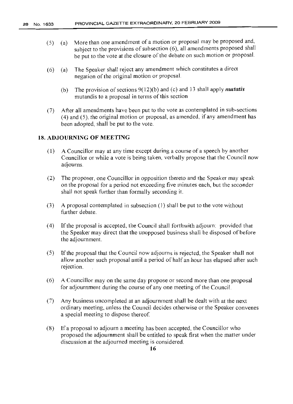- (5) (a) More than one amendment of a motion or proposal may be proposed and, subject to the provisions of subsection (6), all amendments proposed shall be put to the vote at the closure of the debate on such motion or proposal.
- (6) (a) The Speaker shall reject any amendment which constitutes a direct negation of the original motion or proposal.
	- (b) The provision of sections  $9(12)(b)$  and (c) and 13 shall apply *mutatis* mutandis to a proposal in terms of this section
- (7) After all amendments have been put to the vote as contemplated in sub-sections (4) and (5), the original motion or proposal, as amended, if any amendment has been adopted, shall be put to the vote.

#### **18. ADJOURNING OF MEETING**

- (1) A Councillor may at any time except during a course of a speech by another Councillor or while a vote is being taken, verbally propose that the Council now adjourns.
- (2) The proposer, one Councillor in opposition thereto and the Speaker may speak on the proposal for a period not exceeding five minutes each, but the seconder shall not speak further than formally seconding it.
- (3) A proposal contemplated in subsection (1) shall be put to the vote without further debate.
- (4) Ifthe proposal is accepted, the Council shall forthwith adjourn: provided that the Speaker may direct that the unopposed business shall be disposed of before the adjournment.
- (5) Ifthe proposal that the Council now adjourns is rejected, the Speaker shall not allow another such proposal until a period of half an hour has elapsed after such rejection.
- (6) A Councillor may on the same day propose or second more than one proposal for adjournment during the course of any one meeting of the Council.
- (7) Any business uncompleted at an adjournment shall be dealt with at the next ordinary meeting, unless the Council decides otherwise or the Speaker convenes a special meeting to dispose thereof.
- (8) If a proposal to adjourn a meeting has been accepted, the Councillor who proposed the adjournment shall be entitled to speak first when the matter under discussion at the adjourned meeting is considered.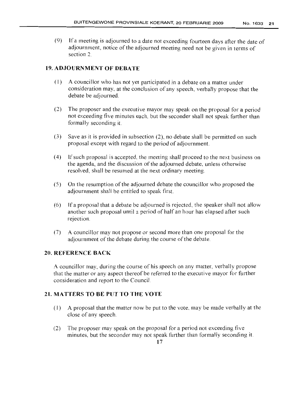(9) If a meeting is adjourned to a date not exceeding fourteen days after the date of adjournment, notice of the adjourned meeting need not be given in terms of section 2.

#### 19. AD.JOURNMENT OF DEBATE

- (1) A councillor who has not yet participated in a debate on a matter under consideration may, at the conclusion of any speech, verbally propose that the debate be adjourned.
- (2) The proposer and the executive mayor may speak on the proposal for a period not exceeding five minutes each, but the seconder shall not speak further than formally seconding it
- (3) Save as it is provided in subsection (2), no debate shall be permitted on such proposal except with regard to the period of adjournment
- (4) Ifsuch proposal is accepted, the meeting shall proceed to the next business on the agenda, and the discussion of the adjourned debate, unless otherwise resolved, shall be resumed at the next ordinary meeting.
- (5) On the resumption ofthe adjourned debate the councillor who proposed the adjournment shall be entitled to speak first
- (6) If a proposal that a debate be adjourned is rejected, the speaker shall not allow another such proposal until a period of half an hour has elapsed after such rejection.
- (7) A councillor may not propose or second more than one proposal for the adjournment of the debate during the course of the debate.

#### 20. REFERENCE BACK

A councillor may, during the course of his speech on any matter, verbally propose that the matter or any aspect thereof be referred to the executive mayor for further consideration and report to the Council

#### 21. MATTERS TO BE PUT TO THE VOTE

- (1) A proposal that the matter now be put to the vote, may be made verbally at the close of any speech.
- (2) The proposer may speak on the proposal for a period not exceeding five minutes, but the seconder may not speak further than formally seconding it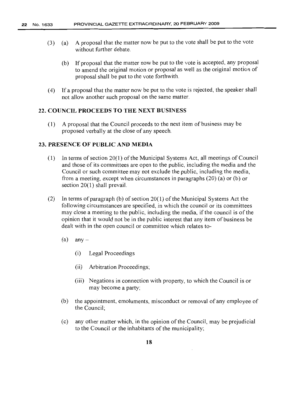- (3) (a) A proposal that the matter now be put to the vote shall be put to the vote without further debate.
	- (b) If proposal that the matter now be put to the vote is accepted, any proposal to amend the original motion or proposal as well as the original motion of proposal shall be put to the vote forthwith.
- (4) If a proposal that the matter now be put to the vote is rejected, the speaker shall not allow another such proposal on the same matter.

#### **22. COUNCIL PROCEEDS TO THE NEXT BUSINESS**

(1) A proposal that the Council proceeds to the next item of business may be proposed verbally at the close of any speech.

#### **23. PRESENCE OF PUBLIC AND MEDIA**

- $(1)$  In terms of section 20(1) of the Municipal Systems Act, all meetings of Council and those of its committees are open to the public, including the media and the Council or such committee may not exclude the public, including the media, from a meeting, except when circumstances in paragraphs (20) (a) or (b) or section 20(1) shall prevail.
- (2) In terms of paragraph (b) of section  $20(1)$  of the Municipal Systems Act the following circumstances are specified, in which the council or its committees may close a meeting to the public, including the media, ifthe council is ofthe opinion that it would not be in the public interest that any item of business be dealt with in the open council or committee which relates to-
	- $(a)$  any  $-$ 
		- (i) Legal Proceedings
		- (ii) Arbitration Proceedings;
		- (iii) Negations in connection with property, to which the Council is or may become a party;
	- (b) the appointment, emoluments, misconduct or removal of any employee of the Council;
	- (c) any other matter which, in the opinion ofthe Council, may be prejudicial to the Council or the inhabitants of the municipality;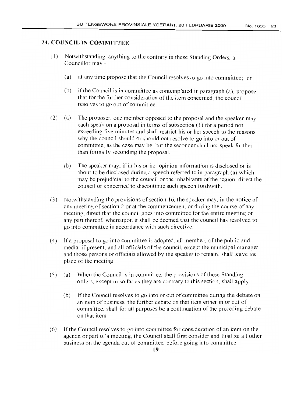#### **24. COUNCIL IN COMMITTEE**

- (1) Notwithstanding anything to the contrary in these Standing Orders, a Councillor may -
	- (a) at any time propose that the Council resolves to go into committee; or
	- (b) if the Council is in committee as contemplated in paragraph  $(a)$ , propose that for the further consideration of the item concerned, the council resolves to go out of committee.
- (2) (a) The proposer, one member opposed to the proposal and the speaker may each speak on a proposal in terms of subsection (1) for a period not exceeding five minutes and shall restrict his or her speech to the reasons why the council should or should not resolve to go into or out of committee, as the case may be, but the seconder shall not speak further than formally seconding the proposal.
	- (b) The speaker may, if in his or her opinion information is disclosed or is about to be disclosed during a speech referred to in paragraph (a) which may be prejudicial to the council or the inhabitants of the region, direct the councillor concerned to discontinue such speech forthwith.
- (3) Notwithstanding the provisions ofsection 16, the speaker may. in the notice of any meeting of section 2 or at the commencement or during the course of any meeting, direct that the council goes into committee for the entire meeting or any part thereof, whereupon it shall be deemed that the council has resolved to go into committee in accordance with such directive.
- (4) If a proposal to go into committee is adopted, all members ofthe public and media, if present, and all officials of the council, except the municipal manager and those persons or officials allowed by the speaker to remain, shall leave the place of the meeting.
- $(5)$  (a) When the Council is in committee, the provisions of these Standing orders. except in so far as they are contrary to this section, shall apply.
	- (b) If the Council resolves to go into or out of committee during the debate on an item of business, the further debate on that item either in or out of committee, shall for all purposes be a continuation of the preceding debate on that item.
- (6) If the Council resolves to go into committee for consideration of an item on the agenda or part ofa meeting, the Council shall tirst consider and finalize all other business on the agenda out of committee, before going into committee.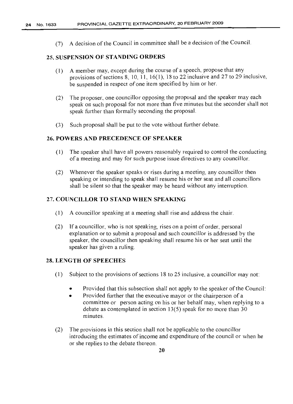(7) A decision of the Council in committee shall be a decision of the Council.

#### 25. SIJSPENSION OF STANDING ORDERS

- (1) A member may, except during the course of a speech, propose that any provisions of sections 8, 10, 11, 16(1), 18 to 22 inclusive and 27 to 29 inclusive, be suspended in respect of one item specified by him or her.
- (2) The proposer, one councillor opposing the proposal and the speaker may each speak on such proposal for not more than five minutes but the seconder shall not speak further than formally seconding the proposal.
- (3) Such proposal shall be put to the vote without further debate.

#### 26. POWERS AND PRECEDENCE OF SPEAKER

- (1) The speaker shall have all powers reasonably required to control the conducting of a meeting and may for such purpose issue directives to any councillor.
- (2) Whenever the speaker speaks or rises during a meeting, any councillor then speaking or intending to speak shall resume his or her seat and all councillors shall be silent so that the speaker may be heard without any interruption.

#### 27. COUNCILLOR TO STAND WHEN SPEAKING

- (1) A councillor speaking at a meeting shall rise and address the chair.
- (2) If a councillor, who is not speaking, rises on a point of order, personal explanation or to submit a proposal and such councillor is addressed by the speaker, the councillor then speaking shall resume his or her seat until the speaker has given a ruling.

#### 28. LENGTH OF SPEECHES

- (1) Subject to the provisions of sections 18 to 25 inclusive, a councillor may not:
	- Provided that this subsection shall not apply to the speaker of the Council:
	- Provided further that the executive mayor or the chairperson of a committee or person acting on his or her behalf may, when replying to a debate as contemplated in section 13(5) speak for no more than 30 minutes.
- (2) The provisions in this section shall not be applicable to the councillor introducing the estimates of income and expenditure of the council or when he or she replies to the debate thereon.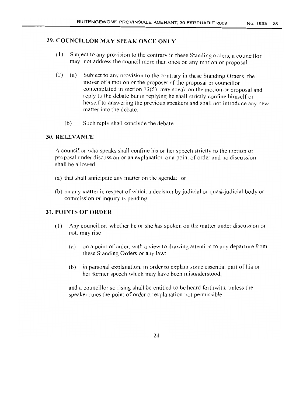#### 29. COUNCILLOR MAY SPEAK ONCE ONLY

- (1) Subject to any provision to the contrary in these Standing orders, a councillor may not address the council more than once on any motion or proposal.
- (2) (a) Subject to any provision to the contrary in these Standing Orders, the mover of a motion or the proposer of the proposal or councillor contemplated in section 13(5). may speak on the motion or proposal and reply to the debate but in replying he shall strictly confine himself or herself to answering the previous speakers and shall not introduce any new matter into the debate.
	- (b) Such reply shall conclude the debate.

#### 30. RELEVANCE

A councillor who speaks shall confine his or her speech strictly to the motion or proposal under discussion or an explanation or a point of order and no discussion shall be allowed.

- (a) that shall anticipate any matter on the agenda: or
- (b) on any matter in respect of which a decision by judicial or quasi-judicial body or commission of inquiry is pending.

#### 31. POINTS OF OROER

- (I) Any councillor, whether he or she has spoken on the matter under discussion or not, may rise  $-$ 
	- (a) on a point of order, with a view to drawing attention to any departure from these Standing Orders or any law:
	- (b) in personal explanation, in order to explain some essential part of his or her former speech which may have been misunderstood,

and a councillor so rising shall be entitled to be heard forthwith, unless the speaker rules the point of order or explanation not permissible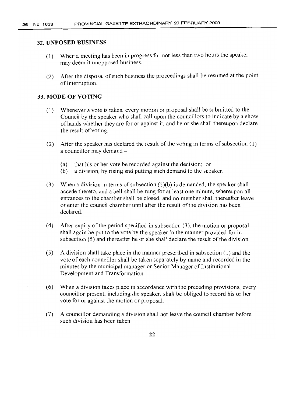#### 32. UNPOSED BUSINESS

- (1) When a meeting has been in progress for not less than two hours the speaker may deem it unopposed business.
- (2) After the disposal of such business the proceedings shall be resumed at the point of interruption.

#### 33. MODE OF VOTING

- (1) Whenever a vote is taken, every motion or proposal shall be submitted to the Council by the speaker who shall call upon the councillors to indicate by a show of hands whether they are for or against it, and he or she shall thereupon declare the result of voting.
- (2) After the speaker has declared the result of the voting in terms of subsection  $(1)$ a councillor may demand -
	- (a) that his or her vote be recorded against the decision; or
	- (b) a division, by rising and putting such demand to the speaker.
- (3) When a division in terms of subsection  $(2)(b)$  is demanded, the speaker shall accede thereto, and a bell shall be rung for at least one minute, whereupon all entrances to the chamber shall be closed, and no member shall thereafter leave or enter the council chamber until after the result ofthe division has been declared.
- (4) After expiry of the period specified in subsection  $(3)$ , the motion or proposal shall again be put to the vote by the speaker in the manner provided for in subsection  $(5)$  and thereafter he or she shall declare the result of the division.
- (5) A division shall take place in the manner prescribed in subsection (1) and the vote of each councillor shall be taken separately by name and recorded in the minutes by the municipal manager or Senior Manager of Institutional Development and Transformation.
- (6) When a division takes place in accordance with the preceding provisions, every councillor present, including the speaker, shall be obliged to record his or her vote for or against the motion or proposal.
- (7) A councillor demanding a division shall not leave the council chamber before such division has been taken.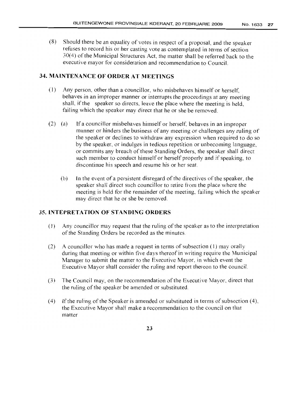(8) Should there be an equality of votes in respect of a proposal, and the speaker refuses to record his or her casting vote as contemplated in terms of section  $30(4)$  of the Municipal Structures Act, the matter shall be referred back to the executive mayor for consideration and recommendation to Council.

#### **34. MAINTENANCE OF ORDER AT MEETINGS**

- (I) Any person, other than a councillor, who misbehaves himself or herself, behaves in an improper manner or interrupts the proceedings at any meeting shall, if the speaker so directs, leave the place where the meeting is held. failing which the speaker may direct that he or she be removed.
- (2) (a) If a councillor misbehaves himself or herself, behaves in an improper manner or hinders the business of any meeting or challenges any ruling of the speaker or declines to withdraw any expression when required to do so by the speaker, or indulges in tedious repetition or unbecoming language, or commits any breach of these Standing Orders, the speaker shall direct such member to conduct himself or herself properly and if speaking, to discontinue his speech and resume his or her seat.
	- $(b)$  In the event of a persistent disregard of the directives of the speaker, the speaker shall direct such councillor to retire from the place where the meeting is held for the remainder of the meeting, failing which the speaker may direct that he or she be removed.

#### 35. **INTEPRETATION OF STANDING ORDERS**

- $(1)$  Any councillor may request that the ruling of the speaker as to the interpretation of the Standing Orders be recorded as the minutes.
- (2) A councillor who has made a request in terms of subsection (I) may orally during that meeting or within five days thereof in writing require the Municipal Manager to submit the matter to the Executive Mayor, in which event the Executive Mayor shall consider the ruling and report thereon to the council
- (3) The Council may, on the recommendation ofthe Executive Mayor, direct that the ruling of the speaker be amended or substituted.
- (4) If the ruling of the Speaker is amended or substituted in terms of subsection  $(4)$ , the Executive Mayor shall make a recommendation to the council on that matter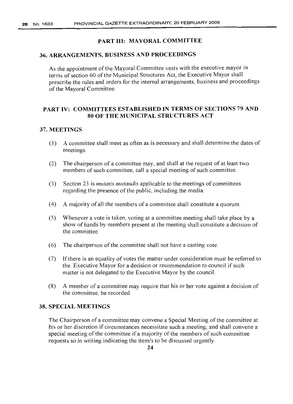#### PART Ill: MAYORAL COMMITTEE

#### 36. ARRANGEMENTS, BUSINESS AND PROCEEDINGS

As the appointment of the Mayoral Committee vests with the executive mayor in terms of section 60 of the Municipal Structures Act, the Executive Mayor shall prescribe the rules and orders for the internal arrangements, business and proceedings of the Mayoral Committee.

#### PART IV: COMMITTEES ESTABLISHED IN TERMS OF SECTIONS 79 AND 80 OF THE MUNICIPAL STRUCTURES ACT

#### 37. MEETINGS

- (1) A committee shall meet as often as is necessary and shall determine the dates of meetings.
- (2) The chairperson of a committee may, and shall at the request of at least two members of such committee, call a special meeting of such committee.
- (3) Section 23 is *mutatis mutandis* applicable to the meetings of committees regarding the presence of the public, including the media.
- (4) A majority of all the members of a committee shall constitute a quorum.
- (5) Whenever a vote is taken, voting at a committee meeting shall take place by a show of hands by members present at the meeting shall constitute a decision of the committee.
- $(6)$  The chairperson of the committee shall not have a casting vote.
- (7) Ifthere is an equality of votes the matter under consideration must be referred to the Executive Mayor for a decision or recommendation to council if such matter is not delegated to the Executive Mayor by the council.
- (8) A member of a committee may require that his or her vote against a decision of the committee, be recorded.

#### 38. SPECIAL MEETINGS

The Chairperson of a committee may convene a Special Meeting of the committee at his or her discretion if circumstances necessitate such a meeting, and shall convene a special meeting of the committee if a majority of the members of such committee requests so in writing indicating the itern/s to be discussed urgently.